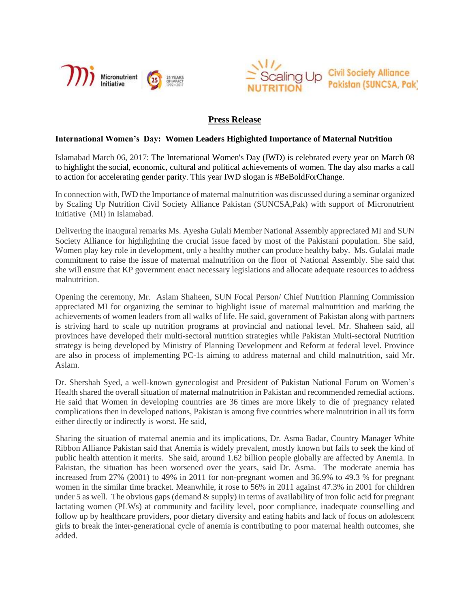



## **Press Release**

## **International Women's Day: Women Leaders Highighted Importance of Maternal Nutrition**

Islamabad March 06, 2017: The International Women's Day (IWD) is celebrated every year on March 08 to highlight the social, economic, cultural and political achievements of women. The day also marks a call to action for accelerating gender parity. This year IWD slogan is #BeBoldForChange.

In connection with, IWD the Importance of maternal malnutrition was discussed during a seminar organized by Scaling Up Nutrition Civil Society Alliance Pakistan (SUNCSA,Pak) with support of Micronutrient Initiative (MI) in Islamabad.

Delivering the inaugural remarks Ms. Ayesha Gulali Member National Assembly appreciated MI and SUN Society Alliance for highlighting the crucial issue faced by most of the Pakistani population. She said, Women play key role in development, only a healthy mother can produce healthy baby. Ms. Gulalai made commitment to raise the issue of maternal malnutrition on the floor of National Assembly. She said that she will ensure that KP government enact necessary legislations and allocate adequate resources to address malnutrition.

Opening the ceremony, Mr. Aslam Shaheen, SUN Focal Person/ Chief Nutrition Planning Commission appreciated MI for organizing the seminar to highlight issue of maternal malnutrition and marking the achievements of women leaders from all walks of life. He said, government of Pakistan along with partners is striving hard to scale up nutrition programs at provincial and national level. Mr. Shaheen said, all provinces have developed their multi-sectoral nutrition strategies while Pakistan Multi-sectoral Nutrition strategy is being developed by Ministry of Planning Development and Reform at federal level. Province are also in process of implementing PC-1s aiming to address maternal and child malnutrition, said Mr. Aslam.

Dr. Shershah Syed, a well-known gynecologist and President of Pakistan National Forum on Women's Health shared the overall situation of maternal malnutrition in Pakistan and recommended remedial actions. He said that Women in developing countries are 36 times are more likely to die of pregnancy related complications then in developed nations, Pakistan is among five countries where malnutrition in all its form either directly or indirectly is worst. He said,

Sharing the situation of maternal anemia and its implications, Dr. Asma Badar, Country Manager White Ribbon Alliance Pakistan said that Anemia is widely prevalent, mostly known but fails to seek the kind of public health attention it merits. She said, around 1.62 billion people globally are affected by Anemia. In Pakistan, the situation has been worsened over the years, said Dr. Asma. The moderate anemia has increased from 27% (2001) to 49% in 2011 for non-pregnant women and 36.9% to 49.3 % for pregnant women in the similar time bracket. Meanwhile, it rose to 56% in 2011 against 47.3% in 2001 for children under 5 as well. The obvious gaps (demand & supply) in terms of availability of iron folic acid for pregnant lactating women (PLWs) at community and facility level, poor compliance, inadequate counselling and follow up by healthcare providers, poor dietary diversity and eating habits and lack of focus on adolescent girls to break the inter-generational cycle of anemia is contributing to poor maternal health outcomes, she added.